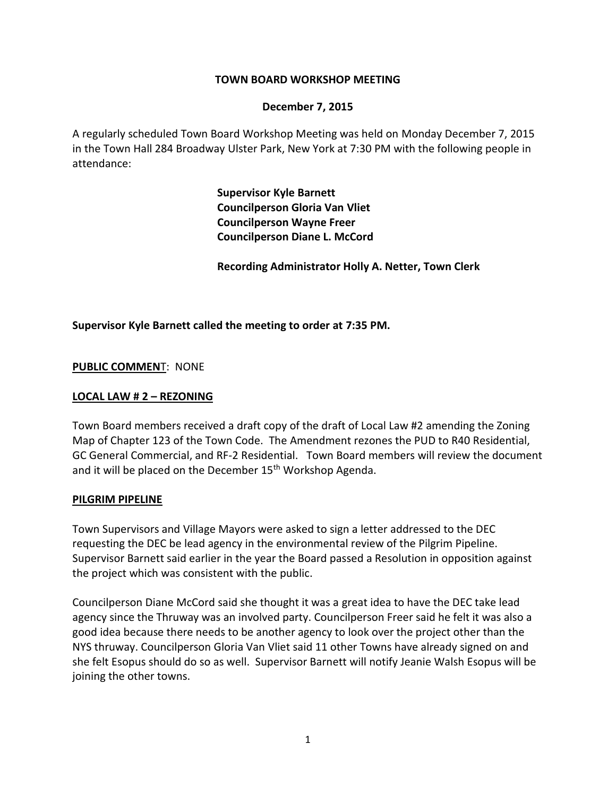## **TOWN BOARD WORKSHOP MEETING**

#### **December 7, 2015**

A regularly scheduled Town Board Workshop Meeting was held on Monday December 7, 2015 in the Town Hall 284 Broadway Ulster Park, New York at 7:30 PM with the following people in attendance:

> **Supervisor Kyle Barnett Councilperson Gloria Van Vliet Councilperson Wayne Freer Councilperson Diane L. McCord**

**Recording Administrator Holly A. Netter, Town Clerk**

## **Supervisor Kyle Barnett called the meeting to order at 7:35 PM.**

**PUBLIC COMMEN**T: NONE

#### **LOCAL LAW # 2 – REZONING**

Town Board members received a draft copy of the draft of Local Law #2 amending the Zoning Map of Chapter 123 of the Town Code. The Amendment rezones the PUD to R40 Residential, GC General Commercial, and RF-2 Residential. Town Board members will review the document and it will be placed on the December 15<sup>th</sup> Workshop Agenda.

#### **PILGRIM PIPELINE**

Town Supervisors and Village Mayors were asked to sign a letter addressed to the DEC requesting the DEC be lead agency in the environmental review of the Pilgrim Pipeline. Supervisor Barnett said earlier in the year the Board passed a Resolution in opposition against the project which was consistent with the public.

Councilperson Diane McCord said she thought it was a great idea to have the DEC take lead agency since the Thruway was an involved party. Councilperson Freer said he felt it was also a good idea because there needs to be another agency to look over the project other than the NYS thruway. Councilperson Gloria Van Vliet said 11 other Towns have already signed on and she felt Esopus should do so as well. Supervisor Barnett will notify Jeanie Walsh Esopus will be joining the other towns.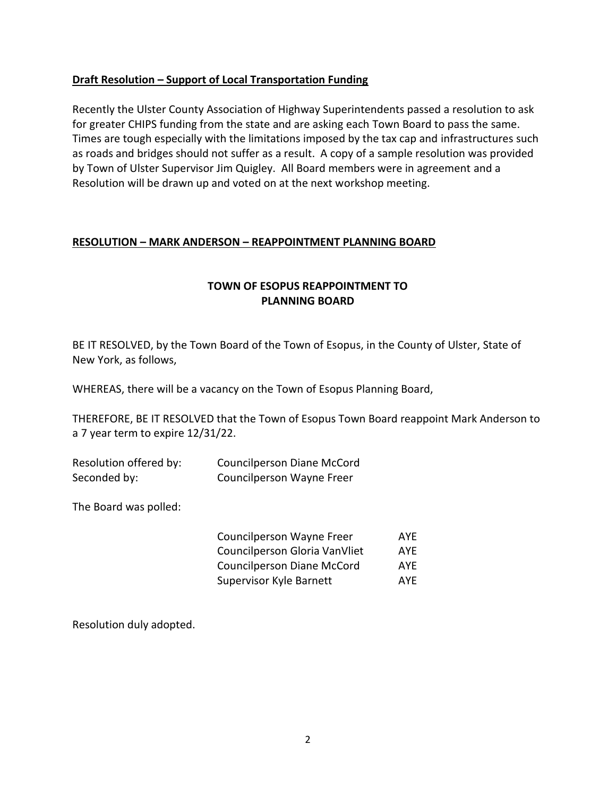# **Draft Resolution – Support of Local Transportation Funding**

Recently the Ulster County Association of Highway Superintendents passed a resolution to ask for greater CHIPS funding from the state and are asking each Town Board to pass the same. Times are tough especially with the limitations imposed by the tax cap and infrastructures such as roads and bridges should not suffer as a result. A copy of a sample resolution was provided by Town of Ulster Supervisor Jim Quigley. All Board members were in agreement and a Resolution will be drawn up and voted on at the next workshop meeting.

## **RESOLUTION – MARK ANDERSON – REAPPOINTMENT PLANNING BOARD**

# **TOWN OF ESOPUS REAPPOINTMENT TO PLANNING BOARD**

BE IT RESOLVED, by the Town Board of the Town of Esopus, in the County of Ulster, State of New York, as follows,

WHEREAS, there will be a vacancy on the Town of Esopus Planning Board,

THEREFORE, BE IT RESOLVED that the Town of Esopus Town Board reappoint Mark Anderson to a 7 year term to expire 12/31/22.

| Resolution offered by: | Councilperson Diane McCord |
|------------------------|----------------------------|
| Seconded by:           | Councilperson Wayne Freer  |

The Board was polled:

| Councilperson Wayne Freer         | AYF        |
|-----------------------------------|------------|
| Councilperson Gloria VanVliet     | <b>AYF</b> |
| <b>Councilperson Diane McCord</b> | <b>AYF</b> |
| Supervisor Kyle Barnett           | <b>AYF</b> |

Resolution duly adopted.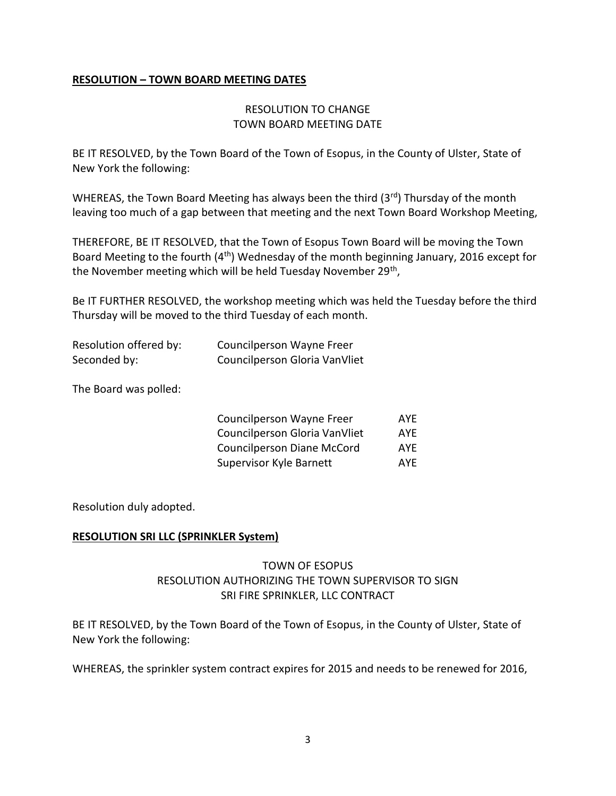# **RESOLUTION – TOWN BOARD MEETING DATES**

# RESOLUTION TO CHANGE TOWN BOARD MEETING DATE

BE IT RESOLVED, by the Town Board of the Town of Esopus, in the County of Ulster, State of New York the following:

WHEREAS, the Town Board Meeting has always been the third (3rd) Thursday of the month leaving too much of a gap between that meeting and the next Town Board Workshop Meeting,

THEREFORE, BE IT RESOLVED, that the Town of Esopus Town Board will be moving the Town Board Meeting to the fourth  $(4<sup>th</sup>)$  Wednesday of the month beginning January, 2016 except for the November meeting which will be held Tuesday November 29<sup>th</sup>,

Be IT FURTHER RESOLVED, the workshop meeting which was held the Tuesday before the third Thursday will be moved to the third Tuesday of each month.

| Resolution offered by: | Councilperson Wayne Freer     |
|------------------------|-------------------------------|
| Seconded by:           | Councilperson Gloria VanVliet |

The Board was polled:

| Councilperson Wayne Freer         | <b>AYF</b> |
|-----------------------------------|------------|
| Councilperson Gloria VanVliet     | <b>AYE</b> |
| <b>Councilperson Diane McCord</b> | <b>AYE</b> |
| Supervisor Kyle Barnett           | <b>AYF</b> |

Resolution duly adopted.

## **RESOLUTION SRI LLC (SPRINKLER System)**

# TOWN OF ESOPUS RESOLUTION AUTHORIZING THE TOWN SUPERVISOR TO SIGN SRI FIRE SPRINKLER, LLC CONTRACT

BE IT RESOLVED, by the Town Board of the Town of Esopus, in the County of Ulster, State of New York the following:

WHEREAS, the sprinkler system contract expires for 2015 and needs to be renewed for 2016,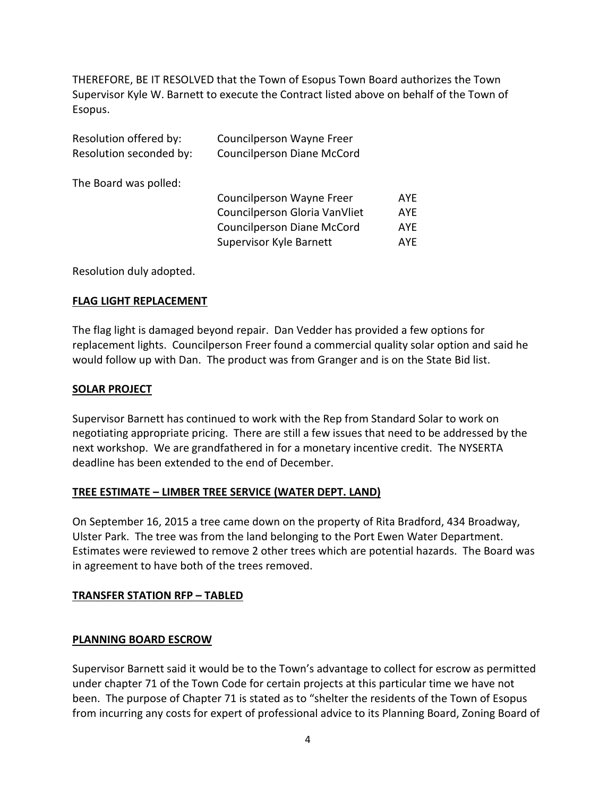THEREFORE, BE IT RESOLVED that the Town of Esopus Town Board authorizes the Town Supervisor Kyle W. Barnett to execute the Contract listed above on behalf of the Town of Esopus.

| Resolution offered by:  | Councilperson Wayne Freer         |            |
|-------------------------|-----------------------------------|------------|
| Resolution seconded by: | <b>Councilperson Diane McCord</b> |            |
| The Board was polled:   |                                   |            |
|                         | Councilperson Wayne Freer         | <b>AYE</b> |
|                         | Councilperson Gloria VanVliet     | <b>AYE</b> |
|                         | <b>Councilperson Diane McCord</b> | <b>AYE</b> |
|                         | Supervisor Kyle Barnett           | <b>AYF</b> |
|                         |                                   |            |

Resolution duly adopted.

# **FLAG LIGHT REPLACEMENT**

The flag light is damaged beyond repair. Dan Vedder has provided a few options for replacement lights. Councilperson Freer found a commercial quality solar option and said he would follow up with Dan. The product was from Granger and is on the State Bid list.

## **SOLAR PROJECT**

Supervisor Barnett has continued to work with the Rep from Standard Solar to work on negotiating appropriate pricing. There are still a few issues that need to be addressed by the next workshop. We are grandfathered in for a monetary incentive credit. The NYSERTA deadline has been extended to the end of December.

## **TREE ESTIMATE – LIMBER TREE SERVICE (WATER DEPT. LAND)**

On September 16, 2015 a tree came down on the property of Rita Bradford, 434 Broadway, Ulster Park. The tree was from the land belonging to the Port Ewen Water Department. Estimates were reviewed to remove 2 other trees which are potential hazards. The Board was in agreement to have both of the trees removed.

## **TRANSFER STATION RFP – TABLED**

## **PLANNING BOARD ESCROW**

Supervisor Barnett said it would be to the Town's advantage to collect for escrow as permitted under chapter 71 of the Town Code for certain projects at this particular time we have not been. The purpose of Chapter 71 is stated as to "shelter the residents of the Town of Esopus from incurring any costs for expert of professional advice to its Planning Board, Zoning Board of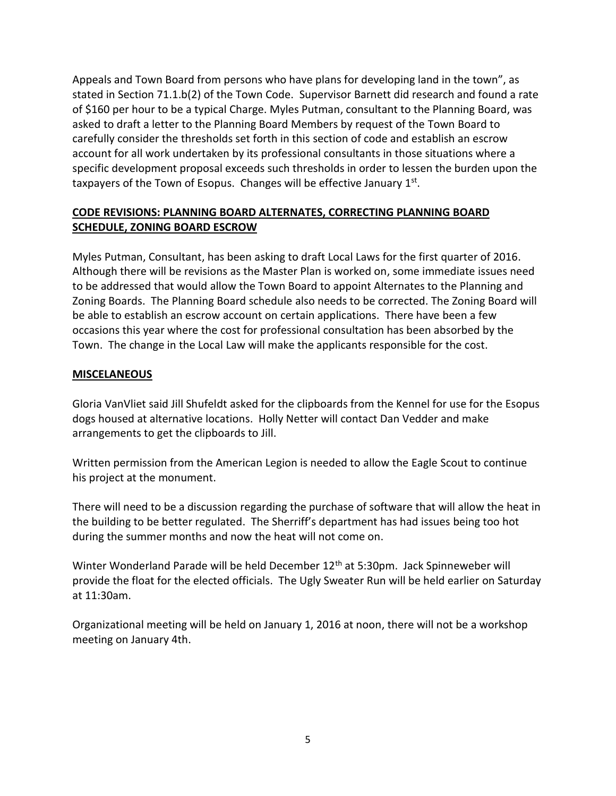Appeals and Town Board from persons who have plans for developing land in the town", as stated in Section 71.1.b(2) of the Town Code. Supervisor Barnett did research and found a rate of \$160 per hour to be a typical Charge. Myles Putman, consultant to the Planning Board, was asked to draft a letter to the Planning Board Members by request of the Town Board to carefully consider the thresholds set forth in this section of code and establish an escrow account for all work undertaken by its professional consultants in those situations where a specific development proposal exceeds such thresholds in order to lessen the burden upon the taxpayers of the Town of Esopus. Changes will be effective January 1st.

# **CODE REVISIONS: PLANNING BOARD ALTERNATES, CORRECTING PLANNING BOARD SCHEDULE, ZONING BOARD ESCROW**

Myles Putman, Consultant, has been asking to draft Local Laws for the first quarter of 2016. Although there will be revisions as the Master Plan is worked on, some immediate issues need to be addressed that would allow the Town Board to appoint Alternates to the Planning and Zoning Boards. The Planning Board schedule also needs to be corrected. The Zoning Board will be able to establish an escrow account on certain applications. There have been a few occasions this year where the cost for professional consultation has been absorbed by the Town. The change in the Local Law will make the applicants responsible for the cost.

# **MISCELANEOUS**

Gloria VanVliet said Jill Shufeldt asked for the clipboards from the Kennel for use for the Esopus dogs housed at alternative locations. Holly Netter will contact Dan Vedder and make arrangements to get the clipboards to Jill.

Written permission from the American Legion is needed to allow the Eagle Scout to continue his project at the monument.

There will need to be a discussion regarding the purchase of software that will allow the heat in the building to be better regulated. The Sherriff's department has had issues being too hot during the summer months and now the heat will not come on.

Winter Wonderland Parade will be held December 12<sup>th</sup> at 5:30pm. Jack Spinneweber will provide the float for the elected officials. The Ugly Sweater Run will be held earlier on Saturday at 11:30am.

Organizational meeting will be held on January 1, 2016 at noon, there will not be a workshop meeting on January 4th.